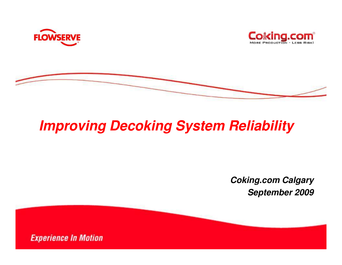





# **Improving Decoking System Reliability**

**Coking.com CalgarySeptember 2009**

**Experience In Motion**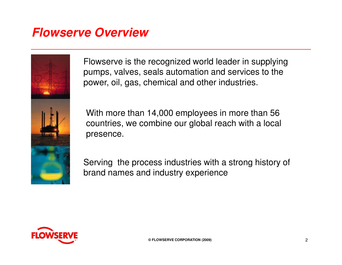#### **Flowserve Overview**



Flowserve is the recognized world leader in supplying pumps, valves, seals automation and services to thepower, oil, gas, chemical and other industries.

With more than 14,000 employees in more than 56 countries, we combine our global reach with a localpresence.

Serving the process industries with a strong history of brand names and industry experience

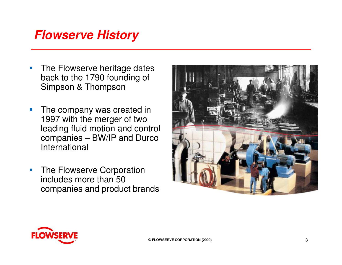#### **Flowserve History**

- $\mathbb{Z}^2$  The Flowserve heritage dates back to the 1790 founding of Simpson & Thompson
- $\mathcal{C}_{\mathcal{A}}$  The company was created in 1997 with the merger of two leading fluid motion and control companies – BW/IP and Durco International
- $\overline{\phantom{a}}$  The Flowserve Corporation includes more than 50 companies and product brands



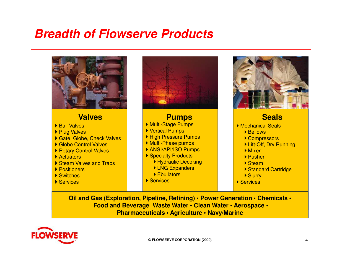#### **Breadth of Flowserve Products**



**Food and Beverage Waste Water • Clean Water • Aerospace •Pharmaceuticals • Agriculture • Navy/Marine** 

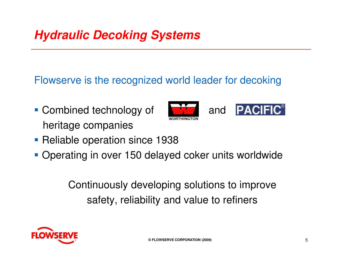## **Hydraulic Decoking Systems**

Flowserve is the recognized world leader for decoking

• Combined technology of **Alternative Combined technology of** and heritage companies





- **Reliable operation since 1938**
- **Operating in over 150 delayed coker units worldwide**

Continuously developing solutions to improvesafety, reliability and value to refiners

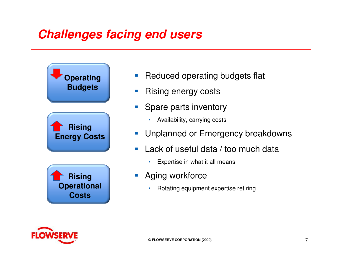### **Challenges facing end users**



- $\overline{\mathbb{R}}$ Reduced operating budgets flat
- $\overline{\mathbb{R}^2}$ Rising energy costs
- $\mathcal{L}_{\mathcal{A}}$  Spare parts inventory
	- Availability, carrying costs
- $\left\vert \cdot \right\vert$ Unplanned or Emergency breakdowns
- $\mathcal{C}^{\mathcal{A}}$  Lack of useful data / too much data
	- •Expertise in what it all means
- $\left\vert \cdot \right\vert$  Aging workforce
	- •Rotating equipment expertise retiring

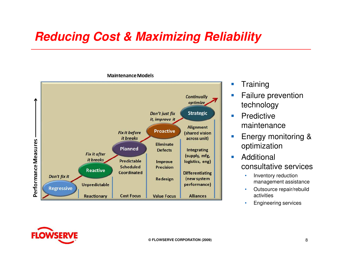#### **Reducing Cost & Maximizing Reliability**

**Continually** optimize Don't just fix **Strategic** it, improve it **Alignment Proactive Fix it before** (shared vision it breaks across unit) Performance Measures Eliminate **Planned Defects Integrating Fix it after** (supply, mfg, it breaks Predictable logistics, eng) **Improve Scheduled Precision Reactive Coordinated Differentiating** Don't fix it (new system Redesign performance) **Unpredictable** Regressive **Cost Focus Alliances Reactionary Value Focus** 

#### **Maintenance Models**

- $\Box$ **Training**
- $\mathcal{C}$  Failure prevention technology
- $\mathcal{L}_{\mathcal{A}}$ **Predictive** maintenance
- $\mathcal{C}^{\mathcal{A}}$  Energy monitoring & optimization
- $\mathcal{L}_{\mathcal{A}}$  Additional consultative services
	- • Inventory reduction management assistance
	- Outsource repair/rebuild •activities
	- **Engineering services** •

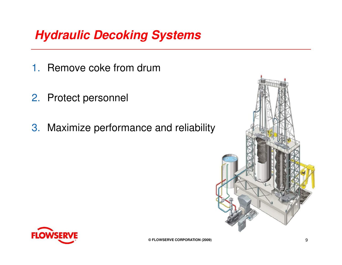## **Hydraulic Decoking Systems**

- 1. Remove coke from drum
- 2. Protect personnel
- 3. Maximize performance and reliability



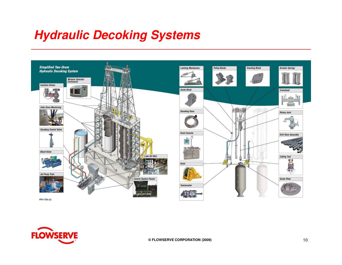#### **Hydraulic Decoking Systems**



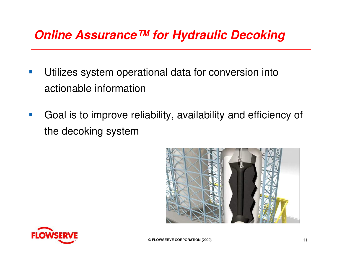#### **Online Assurance™ for Hydraulic Decoking**

- $\mathcal{O}(\mathbb{R})$  Utilizes system operational data for conversion into actionable information
- $\mathcal{O}(\mathbb{R})$  Goal is to improve reliability, availability and efficiency of the decoking system



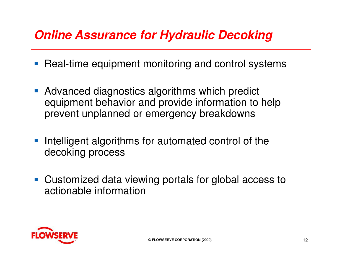## **Online Assurance for Hydraulic Decoking**

- $\mathcal{L}_{\mathcal{A}}$ Real-time equipment monitoring and control systems
- **Advanced diagnostics algorithms which predict** equipment behavior and provide information to help prevent unplanned or emergency breakdowns
- **Intelligent algorithms for automated control of the** decoking process
- **Customized data viewing portals for global access to** actionable information

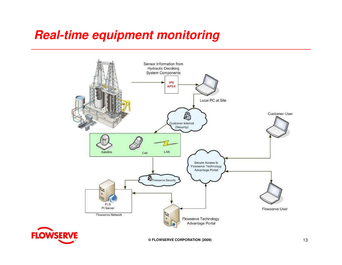## **Real-time equipment monitoring**





**© FLOWSERVE CORPORATION (2009)**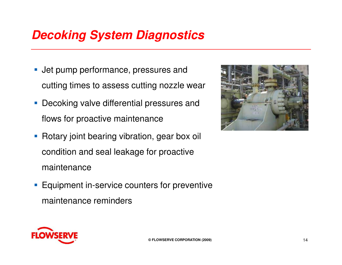### **Decoking System Diagnostics**

- **Jet pump performance, pressures and** cutting times to assess cutting nozzle wear
- **Decoking valve differential pressures and** flows for proactive maintenance
- **Rotary joint bearing vibration, gear box oil** condition and seal leakage for proactive maintenance
- **Equipment in-service counters for preventive** maintenance reminders



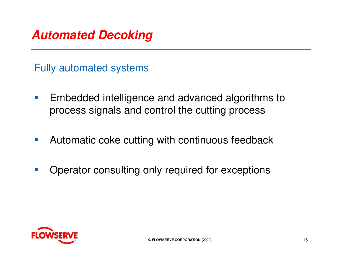

Fully automated systems

- $\mathcal{L}_{\mathcal{A}}$  Embedded intelligence and advanced algorithms to process signals and control the cutting process
- $\mathcal{L}_{\mathcal{A}}$ Automatic coke cutting with continuous feedback
- $\mathcal{L}_{\mathcal{A}}$ Operator consulting only required for exceptions

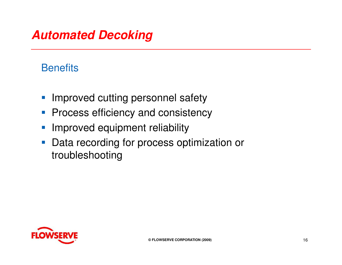#### **Automated Decoking**

#### **Benefits**

- **Improved cutting personnel safety**
- Process efficiency and consistency
- $\mathcal{L}_{\mathcal{A}}$ Improved equipment reliability
- **Data recording for process optimization or** troubleshooting

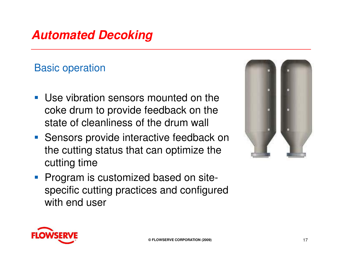## **Automated Decoking**

#### Basic operation

- **Use vibration sensors mounted on the** coke drum to provide feedback on the state of cleanliness of the drum wall
- **Sensors provide interactive feedback on** the cutting status that can optimize the cutting time
- **Program is customized based on site**specific cutting practices and configured with end user



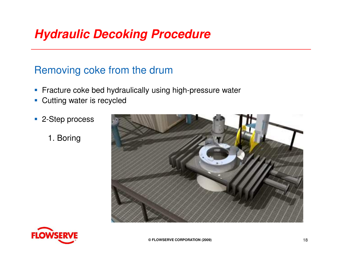#### **Hydraulic Decoking Procedure**

#### Removing coke from the drum

- **Fracture coke bed hydraulically using high-pressure water**
- **Cutting water is recycled**
- 2-Step process
	- 1. Boring





**© FLOWSERVE CORPORATION (2009)**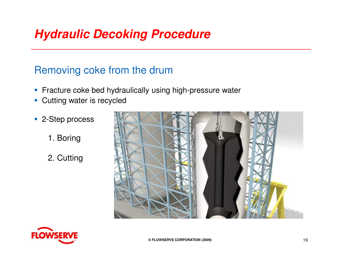#### **Hydraulic Decoking Procedure**

#### Removing coke from the drum

- **Fracture coke bed hydraulically using high-pressure water**
- **Cutting water is recycled**
- 2-Step process
	- 1. Boring
	- 2. Cutting





**© FLOWSERVE CORPORATION (2009)**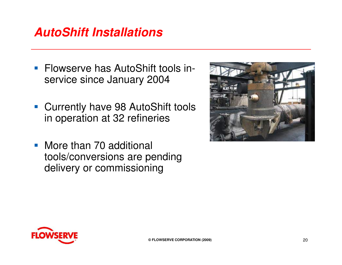#### **AutoShift Installations**

- **Flowserve has AutoShift tools in**service since January 2004
- **Currently have 98 AutoShift tools** in operation at 32 refineries
- More than 70 additional tools/conversions are pending delivery or commissioning



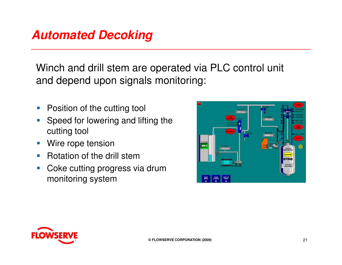#### **Automated Decoking**

Winch and drill stem are operated via PLC control unit and depend upon signals monitoring:

- $\mathcal{L}_{\mathcal{A}}$ Position of the cutting tool
- h. Speed for lowering and lifting the cutting tool
- $\mathcal{L}_{\mathcal{A}}$ Wire rope tension
- Rotation of the drill stem  $\mathcal{L}_{\mathcal{A}}$
- **Coke cutting progress via drum**  $\mathcal{L}_{\mathcal{A}}$ monitoring system



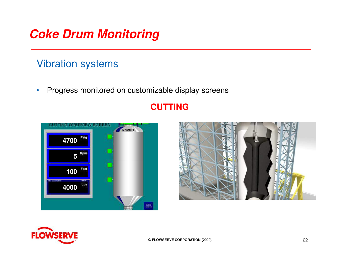#### **Coke Drum Monitoring**

#### Vibration systems

 $\bullet$ Progress monitored on customizable display screens

# **CUTTING**<br> **4700**<br>
5<sup>Rem</sup> 4700 Psig **040100684000** $rac{\text{const}}{\text{scatm}}$



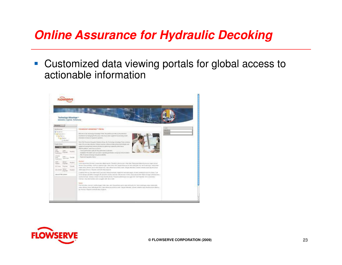#### **Online Assurance for Hydraulic Decoking**

**Customized data viewing portals for global access to** actionable information



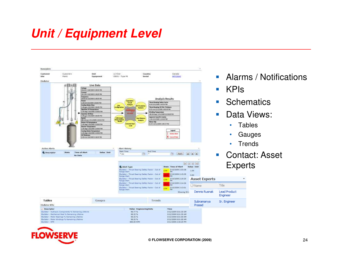#### **Unit / Equipment Level**





**© FLOWSERVE CORPORATION (2009)**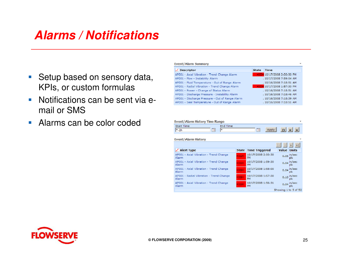#### **Alarms / Notifications**

- **Setup based on sensory data,** KPIs, or custom formulas
- **Notifications can be sent via e**mail or SMS
- **Alarms can be color coded**

| Event/Alarm Summary                             |              | 198                        |
|-------------------------------------------------|--------------|----------------------------|
| <b>Descriptor</b>                               | <b>State</b> | <b>Time</b>                |
| AP001 - Axial Vibration - Trend Change Alarm    |              | HIGH 10/17/2008 2:00:30 PM |
| AP001 - Flow - Instability Alarm                |              | . 10/17/2008 7:59:04 AM    |
| AP001 - Fluid Temperature - Out of Range Alarm  |              | . 10/16/2008 7:18:51 AM    |
| AP001 - Radial Vibration - Trend Change Alarm   |              | HIGH 10/17/2008 1:57:30 PM |
| AP001 - Power - Change of Status Alarm          |              | . 10/16/2008 7:18:51 AM    |
| AP001 - Discharge Pressure - Instability Alarm  |              | . 10/16/2008 7:18:46 AM    |
| AP001 - Discharge Pressure - Out of Range Alarm |              | .10/16/2008 7:18:39 AM     |
| AP001 - Seal Temperature - Out of Range Alarm   |              | . 10/16/2008 7:18:51 AM    |

| Event/Alarm History Time Range                   |              |                          |                      |  |  |  |  |
|--------------------------------------------------|--------------|--------------------------|----------------------|--|--|--|--|
| Start Time<br>End Time<br>$x - 2h$<br>Te<br>l se |              | Te<br><b>Apply</b>       | O.<br>'n.            |  |  |  |  |
| <b>Event/Alarm History</b>                       |              |                          |                      |  |  |  |  |
|                                                  |              |                          | $\geq$               |  |  |  |  |
| <b>Alert Type</b>                                | <b>State</b> | <b>Time Triggered</b>    | <b>Value Units</b>   |  |  |  |  |
| AP001 - Axial Vibration - Trend Change<br>Alarm  | <b>HIGH</b>  | 10/17/2008 2:00:30<br>PM | 0.05 in/sec<br>РK    |  |  |  |  |
| AP001 - Axial Vibration - Trend Change<br>Alarm  | HIGH         | 10/17/2008 1:59:30<br>PM | 0.04 in/sec<br>DK    |  |  |  |  |
| AP001 - Axial Vibration - Trend Change<br>Alarm  | ЮGН          | 10/17/2008 1:58:00<br>PM | $0.04$ in/sec<br>pk  |  |  |  |  |
| AP001 - Radial Vibration - Trend Change<br>Alarm | <b>HIGH</b>  | 10/17/2008 1:57:30<br>PM | $0.10$ in/sec<br>вk  |  |  |  |  |
| AP001 - Axial Vibration - Trend Change<br>Alarm  | HIGH         | 10/17/2008 1:56:31<br>PM | $0.04$ in/sec<br>ok  |  |  |  |  |
|                                                  |              |                          | Showing 1 to 5 of 52 |  |  |  |  |

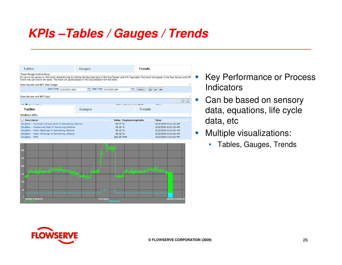## **KPIs –Tables / Gauges / Trends**



- Key Performance or Process **Indicators**
- $\left\vert \cdot \right\rangle$  Can be based on sensory data, equations, life cycle data, etc
- $\overline{\phantom{a}}$  Multiple visualizations:
	- Tables, Gauges, Trends



**Service Service**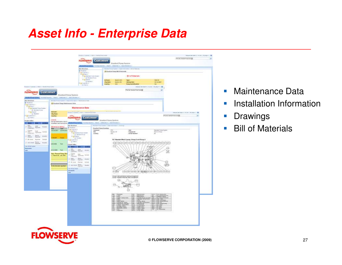#### **Asset Info - Enterprise Data**

|                                                                         | Reserve Product   1791117/4509 Para Excel                                                                                                                                                                                  |                                           |                                  |                                                                           |                                                    | Industries lights of the Constitution of |
|-------------------------------------------------------------------------|----------------------------------------------------------------------------------------------------------------------------------------------------------------------------------------------------------------------------|-------------------------------------------|----------------------------------|---------------------------------------------------------------------------|----------------------------------------------------|------------------------------------------|
|                                                                         | <b>FLOWSERVE Customer</b>                                                                                                                                                                                                  |                                           |                                  |                                                                           |                                                    | TAIN HIGHLIGHT                           |
|                                                                         |                                                                                                                                                                                                                            |                                           | <b>Blandard Fung System</b>      |                                                                           |                                                    |                                          |
|                                                                         | <b>Remaining Auto Contact Contact Contact Auto Contact Ave. 2012 12:00:00 PM Contact Ave. 2012 12:00:00 PM Contact Ave. 2012 12:00:00 PM Contact Ave. 2012 12:00:00 PM Contact Ave. 2012 12:00:00 PM Contact Ave. 2013</b> |                                           |                                  |                                                                           |                                                    |                                          |
|                                                                         | <b>Sto Stricture</b>                                                                                                                                                                                                       |                                           |                                  | David is fury Fyrest + had him sale + 22 of Henrik                        |                                                    |                                          |
|                                                                         | <b>W. Riterance</b>                                                                                                                                                                                                        |                                           | A Standard Form RE 2 Motoride    |                                                                           |                                                    |                                          |
|                                                                         | <b>Biga suppress</b><br><b>Register</b> 6                                                                                                                                                                                  |                                           |                                  |                                                                           |                                                    |                                          |
|                                                                         | If the Service Form Scener                                                                                                                                                                                                 |                                           |                                  | Bill of Materials                                                         |                                                    |                                          |
|                                                                         | 11 Climber of Paris<br>Price banks                                                                                                                                                                                         | <b>End a part</b>                         |                                  |                                                                           | <b>Max 8</b>                                       |                                          |
|                                                                         | <b>C Hubbar</b>                                                                                                                                                                                                            | <b>COLTER</b>                             | <b>Bayton UFC</b><br>піумотін    | Type:<br><b>Hallaptian</b>                                                | <b>GOLDS UNDER</b>                                 |                                          |
|                                                                         | Right Gallery 2<br><b>Ill man z</b>                                                                                                                                                                                        | <b>Didentity:</b>                         | 315                              | <b>Pump by M Norder</b>                                                   | 38.1                                               |                                          |
| Sweet   Silene   (StCL) Dedict And Islam                                |                                                                                                                                                                                                                            |                                           |                                  |                                                                           | (topical standards = 2.5) (let : 2.6) (dec = 2.10) |                                          |
|                                                                         |                                                                                                                                                                                                                            |                                           |                                  | The har beneat hard lyings                                                | B                                                  |                                          |
| <b>ROWSERVE Customer</b>                                                |                                                                                                                                                                                                                            |                                           |                                  |                                                                           |                                                    |                                          |
|                                                                         | Standard Purry System.                                                                                                                                                                                                     |                                           |                                  |                                                                           |                                                    |                                          |
|                                                                         | Reach - Distances - 1 Section re-                                                                                                                                                                                          |                                           |                                  |                                                                           |                                                    |                                          |
| 14x Mrachure                                                            | JERUSA E PURA PURAT E PUBLICATO DE PROTECCIO ESTE                                                                                                                                                                          |                                           |                                  |                                                                           |                                                    |                                          |
|                                                                         | <b>ID Availant Progrittation are their</b>                                                                                                                                                                                 |                                           |                                  |                                                                           |                                                    |                                          |
| Belgi budanel  <br>  Trida Pent                                         |                                                                                                                                                                                                                            |                                           |                                  |                                                                           |                                                    |                                          |
| <b>ICA's Transact Fung Sylvan</b>                                       | <b>Mattlehance Data</b>                                                                                                                                                                                                    |                                           |                                  |                                                                           |                                                    |                                          |
| <b>O MARKET</b>                                                         | <b>WASHING</b>                                                                                                                                                                                                             |                                           | dance the country of the country |                                                                           |                                                    |                                          |
| <b>SIGNARY</b><br><b>Ballyman</b><br><b>U Hutan</b><br><b>Chy/Index</b> | Newton Contemp Limited Limited States (400)                                                                                                                                                                                |                                           |                                  |                                                                           |                                                    | More Jevines + Litcher Litchers + 2 &    |
| <b>Highbases</b><br>Country).                                           |                                                                                                                                                                                                                            |                                           |                                  |                                                                           |                                                    | PASS: NOVEAWARE                          |
| <b>FIGHTHAM P</b>                                                       | <b>FLOWSERVE Customer</b>                                                                                                                                                                                                  |                                           |                                  |                                                                           |                                                    |                                          |
| Goneral.<br>Nettial Manhesson done 1                                    |                                                                                                                                                                                                                            | Standard Perce System                     |                                  |                                                                           |                                                    |                                          |
| <b>State Bill</b>                                                       | installation and terrorist do  (Strained Street Indians)                                                                                                                                                                   | to climate a matchester.                  |                                  |                                                                           |                                                    |                                          |
| <b>Local</b><br>Maneropole Alexand<br><b>Student</b><br>Toprate         | <b>Blue Metallacer</b><br>of Galaxyan                                                                                                                                                                                      | Roarwood Forty Forever J. Johns           |                                  |                                                                           |                                                    |                                          |
| Date: Type                                                              | Eda business 1                                                                                                                                                                                                             | <b>Handed Form Drawings</b><br><b>STC</b> |                                  |                                                                           |                                                    |                                          |
| JOILI/SNT Commission<br>$F = 0$<br>Federal Canala                       | Extenset<br><b>V-Letted L</b><br>King .                                                                                                                                                                                    |                                           | Saulesi, On                      | their<br>England                                                          | Standard Fung System<br><b>Bark G. Farm</b>        |                                          |
| THE OWNER                                                               | 10 (2) Gendard Furly Screen<br>Enancy<br>arum madeland, EST                                                                                                                                                                | sta:                                      |                                  | <b>Savid Number</b>                                                       | mo.                                                |                                          |
| <b>Hoster</b><br>Topress<br><b>Harry H</b><br><b>STAR</b>               | in the second<br><b>NOT Hallen</b>                                                                                                                                                                                         |                                           |                                  |                                                                           |                                                    |                                          |
| (I billions Engine: Child's                                             | <b>Executive</b>                                                                                                                                                                                                           |                                           |                                  | 8.2 Standard Mark 3 pamp, Oning 2 and Group 3.                            |                                                    |                                          |
| J. Air Jam Tarre<br>Analise                                             | $3$ Res $1$                                                                                                                                                                                                                |                                           |                                  |                                                                           |                                                    |                                          |
| <b>LASCORNE</b><br><b>Best</b><br>Her If The Carbon                     | <b>Flood in English</b>                                                                                                                                                                                                    |                                           | FB)                              |                                                                           |                                                    |                                          |
|                                                                         | <b>The State State</b>                                                                                                                                                                                                     |                                           |                                  |                                                                           | DH)                                                |                                          |
| UESCHIE Text                                                            | $\frac{1}{2}$<br>Engineer                                                                                                                                                                                                  |                                           |                                  |                                                                           | 35                                                 |                                          |
| Non-Planeet Pemp Skot                                                   |                                                                                                                                                                                                                            |                                           |                                  |                                                                           |                                                    |                                          |
| 1 Paneed for Jan 2005                                                   | Chetur<br>Gall<br>Exclusive<br>Tackmouth                                                                                                                                                                                   |                                           |                                  |                                                                           |                                                    |                                          |
|                                                                         | $\propto$ 2000 $\sim$                                                                                                                                                                                                      |                                           |                                  |                                                                           |                                                    |                                          |
|                                                                         | <b>Engineer</b>                                                                                                                                                                                                            |                                           |                                  |                                                                           |                                                    |                                          |
|                                                                         | 3 miles Henri Seks                                                                                                                                                                                                         |                                           |                                  |                                                                           |                                                    |                                          |
| <b>DISCRETE SORG</b>                                                    | Links Scott, Street                                                                                                                                                                                                        |                                           |                                  |                                                                           |                                                    |                                          |
|                                                                         | <b>Alle all'US carried</b>                                                                                                                                                                                                 |                                           |                                  |                                                                           |                                                    |                                          |
|                                                                         | <b>Incomedia</b><br><b>EXIMAL</b>                                                                                                                                                                                          |                                           |                                  | décimen<br><b>Supported</b>                                               |                                                    |                                          |
|                                                                         |                                                                                                                                                                                                                            |                                           |                                  |                                                                           |                                                    |                                          |
|                                                                         |                                                                                                                                                                                                                            |                                           | Group 2 (tal<br>Giria 13m        | come aligning facebook and anywhere.<br>The of bounting chains structures |                                                    |                                          |
|                                                                         |                                                                                                                                                                                                                            |                                           |                                  | (se)                                                                      |                                                    |                                          |
|                                                                         |                                                                                                                                                                                                                            |                                           |                                  |                                                                           |                                                    |                                          |
|                                                                         |                                                                                                                                                                                                                            |                                           |                                  |                                                                           |                                                    |                                          |
|                                                                         |                                                                                                                                                                                                                            |                                           |                                  |                                                                           |                                                    |                                          |
|                                                                         |                                                                                                                                                                                                                            |                                           |                                  |                                                                           |                                                    |                                          |
|                                                                         |                                                                                                                                                                                                                            |                                           |                                  |                                                                           |                                                    |                                          |
|                                                                         |                                                                                                                                                                                                                            |                                           | 35                               | <b>Beams</b>                                                              |                                                    |                                          |
|                                                                         |                                                                                                                                                                                                                            |                                           | <b>STATE APPROVAL</b><br>18      | <b>Silver Here</b>                                                        | <b>Side of the Contract</b>                        |                                          |
|                                                                         |                                                                                                                                                                                                                            |                                           | <b>SECTION AND</b>               | hina                                                                      |                                                    |                                          |
|                                                                         |                                                                                                                                                                                                                            |                                           |                                  | <b><i>Company</i></b>                                                     | 8833                                               |                                          |
|                                                                         |                                                                                                                                                                                                                            |                                           | i an                             | p pre                                                                     | 重語                                                 |                                          |
|                                                                         |                                                                                                                                                                                                                            |                                           |                                  |                                                                           |                                                    |                                          |
|                                                                         |                                                                                                                                                                                                                            |                                           | <b>FR Savor</b>                  | 第一院 些                                                                     |                                                    |                                          |
|                                                                         |                                                                                                                                                                                                                            |                                           |                                  |                                                                           |                                                    |                                          |
|                                                                         |                                                                                                                                                                                                                            |                                           |                                  |                                                                           |                                                    |                                          |
|                                                                         |                                                                                                                                                                                                                            |                                           |                                  |                                                                           |                                                    |                                          |
|                                                                         |                                                                                                                                                                                                                            |                                           |                                  |                                                                           |                                                    |                                          |
|                                                                         |                                                                                                                                                                                                                            |                                           |                                  |                                                                           |                                                    |                                          |

- $\mathcal{L}_{\mathcal{A}}$ Maintenance Data
- **Installation Information**  $\overline{\mathcal{A}}$
- $\mathcal{L}_{\mathcal{A}}$ Drawings
- Bill of Materials

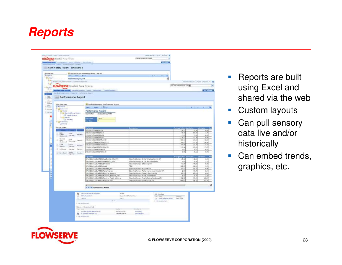## **Reports**



- **Service Service**  Reports are built using Excel and shared via the web
- $\left\vert \cdot \right\vert$ Custom layouts
- Can pull sensory data live and/or historically
- Can embed trends, graphics, etc.

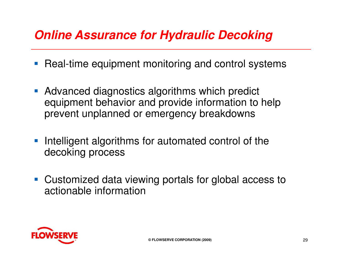## **Online Assurance for Hydraulic Decoking**

- $\mathcal{L}_{\mathcal{A}}$ Real-time equipment monitoring and control systems
- **Advanced diagnostics algorithms which predict** equipment behavior and provide information to help prevent unplanned or emergency breakdowns
- **Intelligent algorithms for automated control of the** decoking process
- **Customized data viewing portals for global access to** actionable information